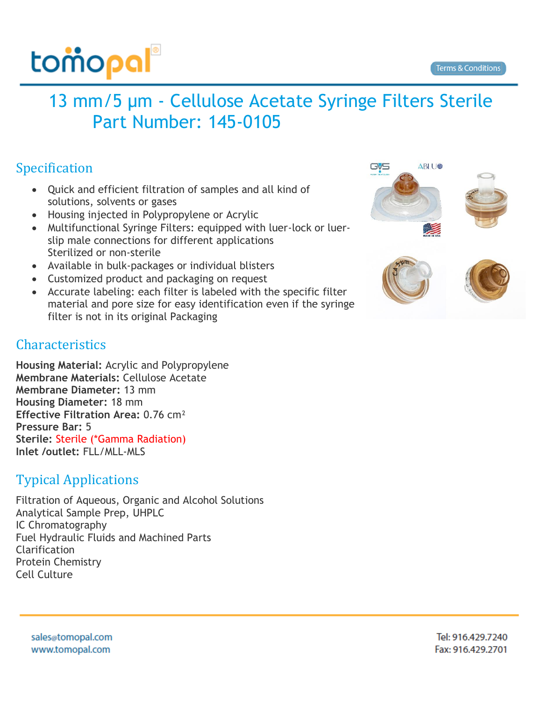

## 13 mm/5 µm - Cellulose Acetate Syringe Filters Sterile Part Number: 145-0105

## Specification

- Quick and efficient filtration of samples and all kind of solutions, solvents or gases
- Housing injected in Polypropylene or Acrylic
- Multifunctional Syringe Filters: equipped with luer-lock or luerslip male connections for different applications Sterilized or non-sterile
- Available in bulk-packages or individual blisters
- Customized product and packaging on request
- Accurate labeling: each filter is labeled with the specific filter material and pore size for easy identification even if the syringe filter is not in its original Packaging

## Characteristics

**Housing Material:** Acrylic and Polypropylene **Membrane Materials:** Cellulose Acetate **Membrane Diameter:** 13 mm **Housing Diameter:** 18 mm **Effective Filtration Area:** 0.76 cm² **Pressure Bar:** 5 **Sterile:** Sterile (\*Gamma Radiation) **Inlet /outlet:** FLL/MLL-MLS

## Typical Applications

Filtration of Aqueous, Organic and Alcohol Solutions Analytical Sample Prep, UHPLC IC Chromatography Fuel Hydraulic Fluids and Machined Parts Clarification Protein Chemistry Cell Culture



sales@tomopal.com www.tomopal.com

Tel: 916.429.7240 Fax: 916.429.2701